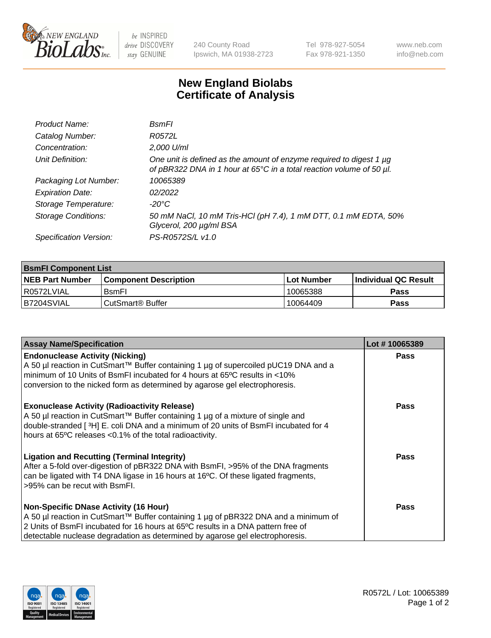

 $be$  INSPIRED drive DISCOVERY stay GENUINE

240 County Road Ipswich, MA 01938-2723 Tel 978-927-5054 Fax 978-921-1350

www.neb.com info@neb.com

## **New England Biolabs Certificate of Analysis**

| Product Name:              | BsmFl                                                                                                                                       |
|----------------------------|---------------------------------------------------------------------------------------------------------------------------------------------|
| Catalog Number:            | R0572L                                                                                                                                      |
| Concentration:             | 2,000 U/ml                                                                                                                                  |
| Unit Definition:           | One unit is defined as the amount of enzyme required to digest 1 µg<br>of pBR322 DNA in 1 hour at 65°C in a total reaction volume of 50 µl. |
| Packaging Lot Number:      | 10065389                                                                                                                                    |
| <b>Expiration Date:</b>    | 02/2022                                                                                                                                     |
| Storage Temperature:       | $-20^{\circ}$ C                                                                                                                             |
| <b>Storage Conditions:</b> | 50 mM NaCl, 10 mM Tris-HCl (pH 7.4), 1 mM DTT, 0.1 mM EDTA, 50%<br>Glycerol, 200 µg/ml BSA                                                  |
| Specification Version:     | PS-R0572S/L v1.0                                                                                                                            |

| <b>BsmFI Component List</b> |                         |              |                             |  |
|-----------------------------|-------------------------|--------------|-----------------------------|--|
| <b>NEB Part Number</b>      | l Component Description | l Lot Number | <b>Individual QC Result</b> |  |
| I R0572LVIAL                | <b>B</b> smFI           | 10065388     | Pass                        |  |
| IB7204SVIAL                 | l CutSmart® Buffer_     | 10064409     | Pass                        |  |

| <b>Assay Name/Specification</b>                                                                                                                                                                                                                                                                          | Lot #10065389 |
|----------------------------------------------------------------------------------------------------------------------------------------------------------------------------------------------------------------------------------------------------------------------------------------------------------|---------------|
| <b>Endonuclease Activity (Nicking)</b><br>A 50 µl reaction in CutSmart™ Buffer containing 1 µg of supercoiled pUC19 DNA and a<br>minimum of 10 Units of BsmFI incubated for 4 hours at 65°C results in <10%<br>conversion to the nicked form as determined by agarose gel electrophoresis.               | <b>Pass</b>   |
| <b>Exonuclease Activity (Radioactivity Release)</b><br>A 50 µl reaction in CutSmart™ Buffer containing 1 µg of a mixture of single and<br>double-stranded [3H] E. coli DNA and a minimum of 20 units of BsmFI incubated for 4<br>hours at 65°C releases <0.1% of the total radioactivity.                | <b>Pass</b>   |
| <b>Ligation and Recutting (Terminal Integrity)</b><br>After a 5-fold over-digestion of pBR322 DNA with BsmFI, >95% of the DNA fragments<br>can be ligated with T4 DNA ligase in 16 hours at 16°C. Of these ligated fragments,<br>>95% can be recut with BsmFI.                                           | <b>Pass</b>   |
| <b>Non-Specific DNase Activity (16 Hour)</b><br>A 50 µl reaction in CutSmart™ Buffer containing 1 µg of pBR322 DNA and a minimum of<br>2 Units of BsmFI incubated for 16 hours at 65°C results in a DNA pattern free of<br>detectable nuclease degradation as determined by agarose gel electrophoresis. | Pass          |